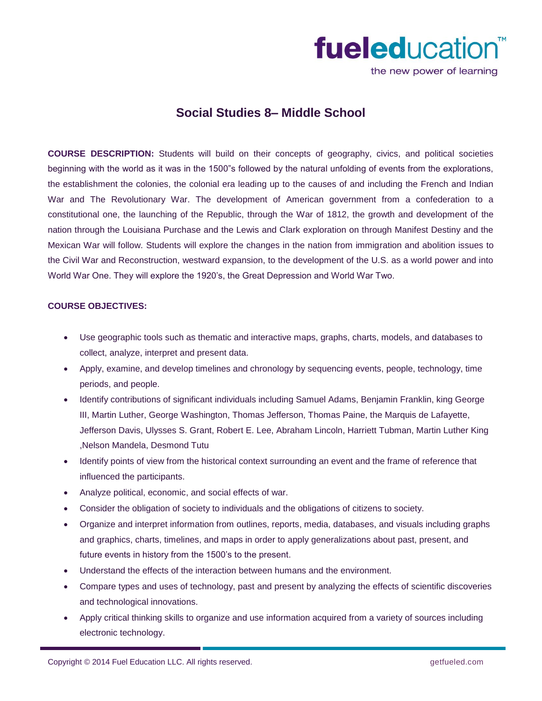

the new power of learning

# **Social Studies 8– Middle School**

**COURSE DESCRIPTION:** Students will build on their concepts of geography, civics, and political societies beginning with the world as it was in the 1500"s followed by the natural unfolding of events from the explorations, the establishment the colonies, the colonial era leading up to the causes of and including the French and Indian War and The Revolutionary War. The development of American government from a confederation to a constitutional one, the launching of the Republic, through the War of 1812, the growth and development of the nation through the Louisiana Purchase and the Lewis and Clark exploration on through Manifest Destiny and the Mexican War will follow. Students will explore the changes in the nation from immigration and abolition issues to the Civil War and Reconstruction, westward expansion, to the development of the U.S. as a world power and into World War One. They will explore the 1920's, the Great Depression and World War Two.

## **COURSE OBJECTIVES:**

- Use geographic tools such as thematic and interactive maps, graphs, charts, models, and databases to collect, analyze, interpret and present data.
- Apply, examine, and develop timelines and chronology by sequencing events, people, technology, time periods, and people.
- Identify contributions of significant individuals including Samuel Adams, Benjamin Franklin, king George III, Martin Luther, George Washington, Thomas Jefferson, Thomas Paine, the Marquis de Lafayette, Jefferson Davis, Ulysses S. Grant, Robert E. Lee, Abraham Lincoln, Harriett Tubman, Martin Luther King ,Nelson Mandela, Desmond Tutu
- Identify points of view from the historical context surrounding an event and the frame of reference that influenced the participants.
- Analyze political, economic, and social effects of war.
- Consider the obligation of society to individuals and the obligations of citizens to society.
- Organize and interpret information from outlines, reports, media, databases, and visuals including graphs and graphics, charts, timelines, and maps in order to apply generalizations about past, present, and future events in history from the 1500's to the present.
- Understand the effects of the interaction between humans and the environment.
- Compare types and uses of technology, past and present by analyzing the effects of scientific discoveries and technological innovations.
- Apply critical thinking skills to organize and use information acquired from a variety of sources including electronic technology.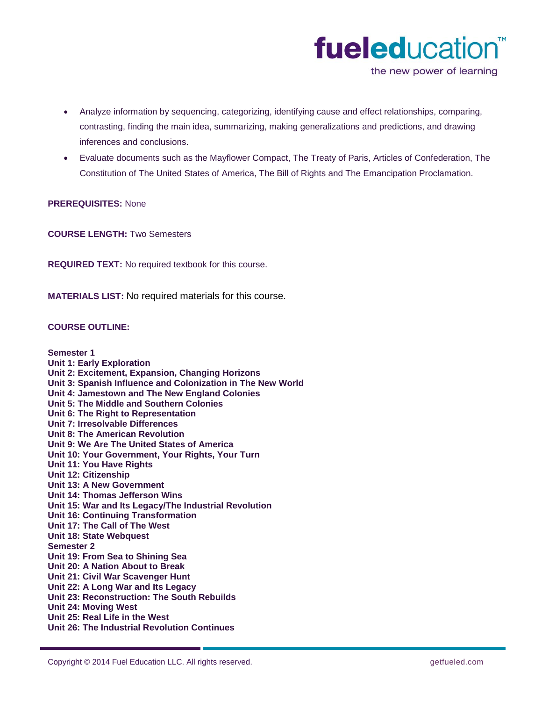

the new power of learning

- Analyze information by sequencing, categorizing, identifying cause and effect relationships, comparing, contrasting, finding the main idea, summarizing, making generalizations and predictions, and drawing inferences and conclusions.
- Evaluate documents such as the Mayflower Compact, The Treaty of Paris, Articles of Confederation, The Constitution of The United States of America, The Bill of Rights and The Emancipation Proclamation.

#### **PREREQUISITES:** None

**COURSE LENGTH:** Two Semesters

**REQUIRED TEXT:** No required textbook for this course.

**MATERIALS LIST:** No required materials for this course.

#### **COURSE OUTLINE:**

### **Semester 1 Unit 1: Early Exploration Unit 2: Excitement, Expansion, Changing Horizons Unit 3: Spanish Influence and Colonization in The New World Unit 4: Jamestown and The New England Colonies Unit 5: The Middle and Southern Colonies Unit 6: The Right to Representation Unit 7: Irresolvable Differences Unit 8: The American Revolution Unit 9: We Are The United States of America Unit 10: Your Government, Your Rights, Your Turn Unit 11: You Have Rights Unit 12: Citizenship Unit 13: A New Government Unit 14: Thomas Jefferson Wins Unit 15: War and Its Legacy/The Industrial Revolution Unit 16: Continuing Transformation Unit 17: The Call of The West Unit 18: State Webquest Semester 2 Unit 19: From Sea to Shining Sea Unit 20: A Nation About to Break Unit 21: Civil War Scavenger Hunt Unit 22: A Long War and Its Legacy Unit 23: Reconstruction: The South Rebuilds Unit 24: Moving West Unit 25: Real Life in the West Unit 26: The Industrial Revolution Continues**